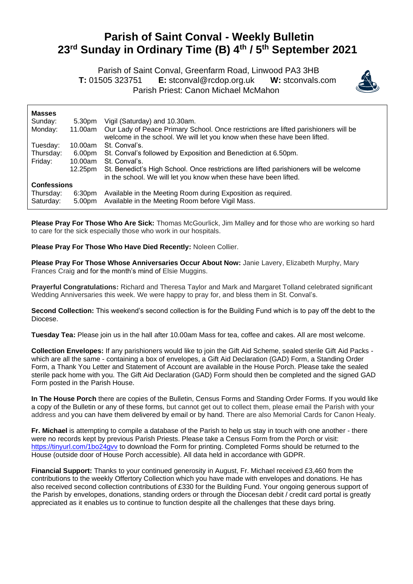## **Parish of Saint Conval - Weekly Bulletin 23 rd Sunday in Ordinary Time (B) 4 th / 5th September 2021**

 Parish of Saint Conval, Greenfarm Road, Linwood PA3 3HB **T:** 01505 323751 **E:** [stconval@rcdop.org.uk](mailto:stconval@rcdop.org.uk) **W:** stconvals.com Parish Priest: Canon Michael McMahon



| <b>Masses</b>          |                              |                                                                                                                                                                 |
|------------------------|------------------------------|-----------------------------------------------------------------------------------------------------------------------------------------------------------------|
| Sunday:                | 5.30pm                       | Vigil (Saturday) and 10.30am.                                                                                                                                   |
| Monday:                | 11.00am                      | Our Lady of Peace Primary School. Once restrictions are lifted parishioners will be<br>welcome in the school. We will let you know when these have been lifted. |
| Tuesday:               | 10.00am                      | St. Conval's.                                                                                                                                                   |
| Thursday:              | 6.00pm                       | St. Conval's followed by Exposition and Benediction at 6.50pm.                                                                                                  |
| Friday:                | 10.00am                      | St. Conval's.                                                                                                                                                   |
|                        | 12.25pm                      | St. Benedict's High School. Once restrictions are lifted parishioners will be welcome<br>in the school. We will let you know when these have been lifted.       |
| <b>Confessions</b>     |                              |                                                                                                                                                                 |
| Thursday:<br>Saturday: | 6:30 <sub>pm</sub><br>5.00pm | Available in the Meeting Room during Exposition as required.<br>Available in the Meeting Room before Vigil Mass.                                                |

**Please Pray For Those Who Are Sick:** Thomas McGourlick, Jim Malley and for those who are working so hard to care for the sick especially those who work in our hospitals.

**Please Pray For Those Who Have Died Recently:** Noleen Collier.

**Please Pray For Those Whose Anniversaries Occur About Now:** Janie Lavery, Elizabeth Murphy, Mary Frances Craig and for the month's mind of Elsie Muggins.

**Prayerful Congratulations:** Richard and Theresa Taylor and Mark and Margaret Tolland celebrated significant Wedding Anniversaries this week. We were happy to pray for, and bless them in St. Conval's.

**Second Collection:** This weekend's second collection is for the Building Fund which is to pay off the debt to the Diocese.

**Tuesday Tea:** Please join us in the hall after 10.00am Mass for tea, coffee and cakes. All are most welcome.

**Collection Envelopes:** If any parishioners would like to join the Gift Aid Scheme, sealed sterile Gift Aid Packs which are all the same - containing a box of envelopes, a Gift Aid Declaration (GAD) Form, a Standing Order Form, a Thank You Letter and Statement of Account are available in the House Porch. Please take the sealed sterile pack home with you. The Gift Aid Declaration (GAD) Form should then be completed and the signed GAD Form posted in the Parish House.

**In The House Porch** there are copies of the Bulletin, Census Forms and Standing Order Forms. If you would like a copy of the Bulletin or any of these forms, but cannot get out to collect them, please email the Parish with your address and you can have them delivered by email or by hand. There are also Memorial Cards for Canon Healy.

**Fr. Michael** is attempting to compile a database of the Parish to help us stay in touch with one another - there were no records kept by previous Parish Priests. Please take a Census Form from the Porch or visit: <https://tinyurl.com/1bo24gvv> to download the Form for printing. Completed Forms should be returned to the House (outside door of House Porch accessible). All data held in accordance with GDPR.

**Financial Support:** Thanks to your continued generosity in August, Fr. Michael received £3,460 from the contributions to the weekly Offertory Collection which you have made with envelopes and donations. He has also received second collection contributions of £330 for the Building Fund. Your ongoing generous support of the Parish by envelopes, donations, standing orders or through the Diocesan debit / credit card portal is greatly appreciated as it enables us to continue to function despite all the challenges that these days bring.